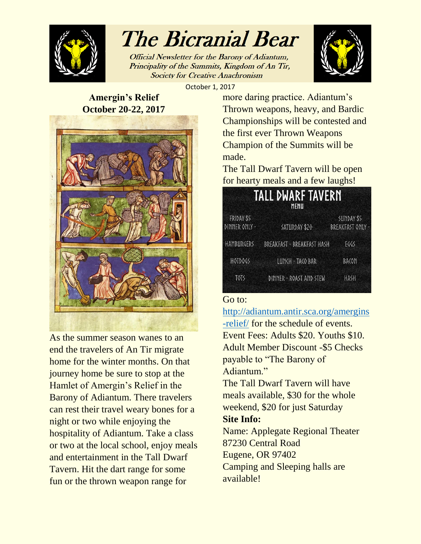

# The Bicranial Bear

Official Newsletter for the Barony of Adiantum, Principality of the Summits, Kingdom of An Tir, **Society for Creative Anachronism** 



October 1, 2017

### **Amergin's Relief October 20-22, 2017**



As the summer season wanes to an end the travelers of An Tir migrate home for the winter months. On that journey home be sure to stop at the Hamlet of Amergin's Relief in the Barony of Adiantum. There travelers can rest their travel weary bones for a night or two while enjoying the hospitality of Adiantum. Take a class or two at the local school, enjoy meals and entertainment in the Tall Dwarf Tavern. Hit the dart range for some fun or the thrown weapon range for

more daring practice. Adiantum's Thrown weapons, heavy, and Bardic Championships will be contested and the first ever Thrown Weapons Champion of the Summits will be made.

The Tall Dwarf Tavern will be open for hearty meals and a few laughs!

| <b>TALL DWARF TAVERN</b><br>MENU |                            |                                |
|----------------------------------|----------------------------|--------------------------------|
| FRIDAY \$5<br>DINNER ONLY -      | SATURDAY \$20              | SUNDAY \$5<br>BREAKFAST ONLY - |
| <b>HAMBURGERS</b>                | BREAKFAST - BREAKFAST HASH | FGGS                           |
| <b>HOTDOGS</b>                   | LUNCH - TACO BAR           | <b>BACON</b>                   |
| TOTS                             | DINNER - ROAST AND STEW    | HASH                           |

### Go to:

[http://adiantum.antir.sca.org/amergins](http://adiantum.antir.sca.org/amergins-relief/) [-relief/](http://adiantum.antir.sca.org/amergins-relief/) for the schedule of events. Event Fees: Adults \$20. Youths \$10. Adult Member Discount -\$5 Checks payable to "The Barony of Adiantum."

The Tall Dwarf Tavern will have meals available, \$30 for the whole weekend, \$20 for just Saturday

### **Site Info:**

Name: Applegate Regional Theater 87230 Central Road Eugene, OR 97402 Camping and Sleeping halls are available!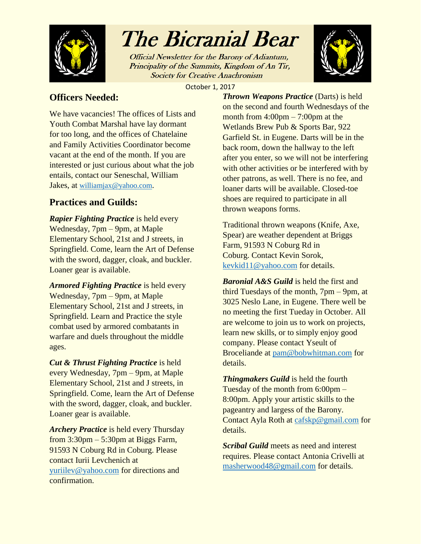

## The Bicranial Bear

Official Newsletter for the Barony of Adiantum, Principality of the Summits, Kingdom of An Tir, **Society for Creative Anachronism** 



October 1, 2017

### **Officers Needed:**

We have vacancies! The offices of Lists and Youth Combat Marshal have lay dormant for too long, and the offices of Chatelaine and Family Activities Coordinator become vacant at the end of the month. If you are interested or just curious about what the job entails, contact our Seneschal, William Jakes, at [williamjax@yahoo.com](mailto:williamjax@yahoo.com).

### **Practices and Guilds:**

*Rapier Fighting Practice* is held every Wednesday, 7pm – 9pm, at Maple Elementary School, 21st and J streets, in Springfield. Come, learn the Art of Defense with the sword, dagger, cloak, and buckler. Loaner gear is available.

*Armored Fighting Practice* is held every Wednesday, 7pm – 9pm, at Maple Elementary School, 21st and J streets, in Springfield. Learn and Practice the style combat used by armored combatants in warfare and duels throughout the middle ages.

*Cut & Thrust Fighting Practice* is held every Wednesday, 7pm – 9pm, at Maple Elementary School, 21st and J streets, in Springfield. Come, learn the Art of Defense with the sword, dagger, cloak, and buckler. Loaner gear is available.

*Archery Practice* is held every Thursday from  $3:30 \text{pm} - 5:30 \text{pm}$  at Biggs Farm, 91593 N Coburg Rd in Coburg. Please contact Iurii Levchenich at [yuriilev@yahoo.com](mailto:yuriilev@yahoo.com) for directions and confirmation.

*Thrown Weapons Practice* (Darts) is held on the second and fourth Wednesdays of the month from  $4:00 \text{pm} - 7:00 \text{pm}$  at the Wetlands Brew Pub & Sports Bar, 922 Garfield St. in Eugene. Darts will be in the back room, down the hallway to the left after you enter, so we will not be interfering with other activities or be interfered with by other patrons, as well. There is no fee, and loaner darts will be available. Closed-toe shoes are required to participate in all thrown weapons forms.

Traditional thrown weapons (Knife, Axe, Spear) are weather dependent at Briggs Farm, 91593 N Coburg Rd in Coburg. Contact Kevin Sorok, [kevkid11@yahoo.com](mailto:kevkid11@yahoo.com) for details.

*Baronial A&S Guild* is held the first and third Tuesdays of the month, 7pm – 9pm, at 3025 Neslo Lane, in Eugene. There well be no meeting the first Tueday in October. All are welcome to join us to work on projects, learn new skills, or to simply enjoy good company. Please contact Yseult of Broceliande at [pam@bobwhitman.com](mailto:pam@bobwhitman.com) for details.

*Thingmakers Guild* is held the fourth Tuesday of the month from 6:00pm – 8:00pm. Apply your artistic skills to the pageantry and largess of the Barony. Contact Ayla Roth at [cafskp@gmail.com](mailto:cafskp@gmail.com) for details.

*Scribal Guild* meets as need and interest requires. Please contact Antonia Crivelli at [masherwood48@gmail.com](mailto:masherwood48@gmail.com) for details.